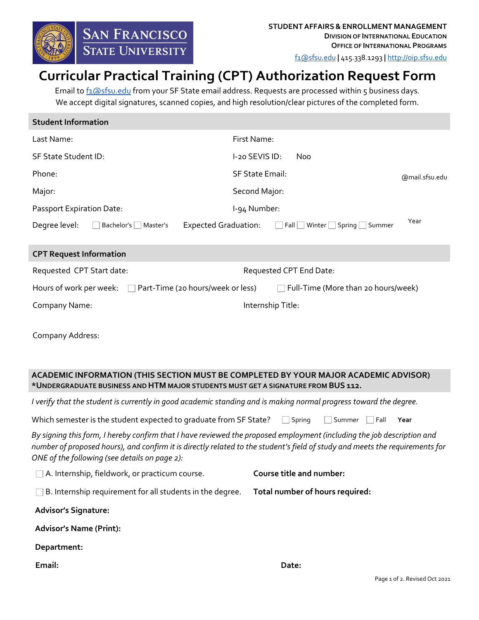

[f1@sfsu.edu](mailto:f1@sfsu.edu) **|** 415.338.1293 **|** [http://oip.sfsu.edu](http://oip.sfsu.edu/)

# **Curricular Practical Training (CPT) Authorization Request Form**

Email to [f1@sfsu.edu](mailto:f1@sfsu.edu) from your SF State email address. Requests are processed within 5 business days. We accept digital signatures, scanned copies, and high resolution/clear pictures of the completed form.

| <b>Student Information</b> |                     |  |                             |                        |  |                                   |
|----------------------------|---------------------|--|-----------------------------|------------------------|--|-----------------------------------|
| Last Name:                 |                     |  |                             | First Name:            |  |                                   |
| SF State Student ID:       |                     |  |                             | $1-20$ SEVIS ID:       |  | Noo                               |
| Phone:                     |                     |  |                             | <b>SF State Email:</b> |  | @mail.sfsu.edu                    |
| Major:                     |                     |  |                             | Second Major:          |  |                                   |
| Passport Expiration Date:  |                     |  |                             | l-94 Number:           |  |                                   |
| Degree level:              | Bachelor's Master's |  | <b>Expected Graduation:</b> |                        |  | Year<br>Fall Winter Spring Summer |

| <b>CPT Request Information</b> |  |                                                                  |                                     |                   |  |  |  |
|--------------------------------|--|------------------------------------------------------------------|-------------------------------------|-------------------|--|--|--|
| Requested CPT Start date:      |  |                                                                  | Requested CPT End Date:             |                   |  |  |  |
|                                |  | Hours of work per week: $\Box$ Part-Time (20 hours/week or less) | Full-Time (More than 20 hours/week) |                   |  |  |  |
| Company Name:                  |  |                                                                  |                                     | Internship Title: |  |  |  |
| Company Address:               |  |                                                                  |                                     |                   |  |  |  |

# **ACADEMIC INFORMATION (THIS SECTION MUST BE COMPLETED BY YOUR MAJOR ACADEMIC ADVISOR) \*UNDERGRADUATE BUSINESS AND HTM MAJOR STUDENTS MUST GET A SIGNATURE FROM BUS 112.**

*I verify that the student is currently in good academic standing and is making normal progress toward the degree.*

Which semester is the student expected to graduate from SF State?  $\Box$  Spring  $\Box$  Summer  $\Box$  Fall  $\Box$  Year

*By signing this form, I hereby confirm that I have reviewed the proposed employment (including the job description and number of proposed hours), and confirm it is directly related to the student's field of study and meets the requirements for ONE of the following (see details on page 2):* 

| $\Box$ A. Internship, fieldwork, or practicum course.     | Course title and number: |                                 |  |  |
|-----------------------------------------------------------|--------------------------|---------------------------------|--|--|
| B. Internship requirement for all students in the degree. |                          | Total number of hours required: |  |  |
| <b>Advisor's Signature:</b>                               |                          |                                 |  |  |
| <b>Advisor's Name (Print):</b>                            |                          |                                 |  |  |
| Department:                                               |                          |                                 |  |  |
| Email:                                                    |                          | Date:                           |  |  |